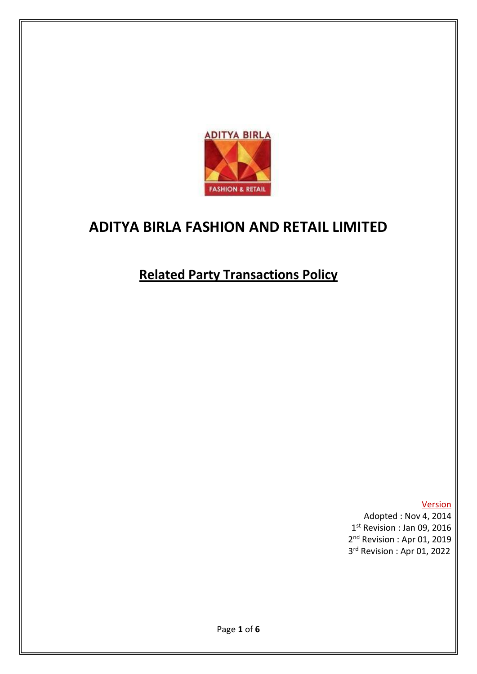

# **ADITYA BIRLA FASHION AND RETAIL LIMITED**

# **Related Party Transactions Policy**

**Version** Adopted : Nov 4, 2014 1 st Revision : Jan 09, 2016 2<sup>nd</sup> Revision: Apr 01, 2019 3rd Revision : Apr 01, 2022

 $\sim$  3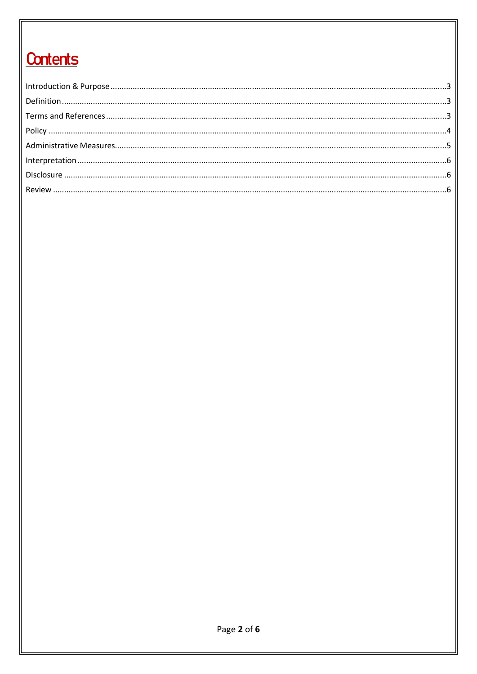# **Contents**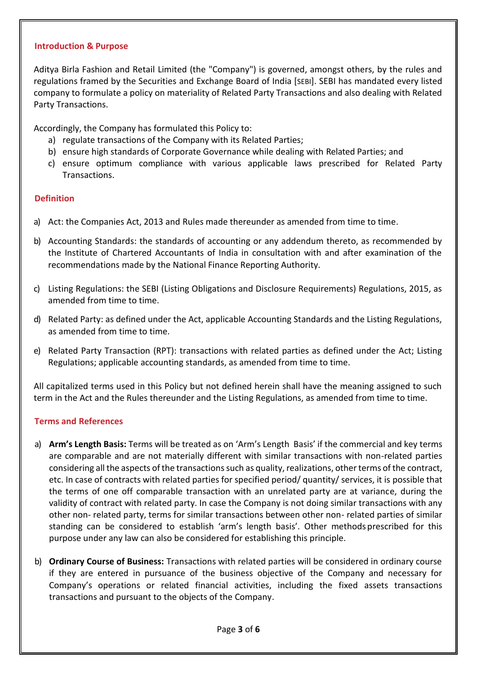#### <span id="page-2-0"></span>**Introduction & Purpose**

Aditya Birla Fashion and Retail Limited (the "Company") is governed, amongst others, by the rules and regulations framed by the Securities and Exchange Board of India [SEBI]. SEBI has mandated every listed company to formulate a policy on materiality of Related Party Transactions and also dealing with Related Party Transactions.

Accordingly, the Company has formulated this Policy to:

- a) regulate transactions of the Company with its Related Parties;
- b) ensure high standards of Corporate Governance while dealing with Related Parties; and
- c) ensure optimum compliance with various applicable laws prescribed for Related Party Transactions.

## <span id="page-2-1"></span>**Definition**

- a) Act: the Companies Act, 2013 and Rules made thereunder as amended from time to time.
- b) Accounting Standards: the standards of accounting or any addendum thereto, as recommended by the Institute of Chartered Accountants of India in consultation with and after examination of the recommendations made by the National Finance Reporting Authority.
- c) Listing Regulations: the SEBI (Listing Obligations and Disclosure Requirements) Regulations, 2015, as amended from time to time.
- d) Related Party: as defined under the Act, applicable Accounting Standards and the Listing Regulations, as amended from time to time.
- e) Related Party Transaction (RPT): transactions with related parties as defined under the Act; Listing Regulations; applicable accounting standards, as amended from time to time.

All capitalized terms used in this Policy but not defined herein shall have the meaning assigned to such term in the Act and the Rules thereunder and the Listing Regulations, as amended from time to time.

## <span id="page-2-2"></span>**Terms and References**

- a) **Arm's Length Basis:** Terms will be treated as on 'Arm's Length Basis' if the commercial and key terms are comparable and are not materially different with similar transactions with non-related parties considering all the aspects of the transactions such as quality, realizations, other terms of the contract, etc. In case of contracts with related parties for specified period/ quantity/ services, it is possible that the terms of one off comparable transaction with an unrelated party are at variance, during the validity of contract with related party. In case the Company is not doing similar transactions with any other non- related party, terms for similar transactions between other non- related parties of similar standing can be considered to establish 'arm's length basis'. Other methods prescribed for this purpose under any law can also be considered for establishing this principle.
- b) **Ordinary Course of Business:** Transactions with related parties will be considered in ordinary course if they are entered in pursuance of the business objective of the Company and necessary for Company's operations or related financial activities, including the fixed assets transactions transactions and pursuant to the objects of the Company.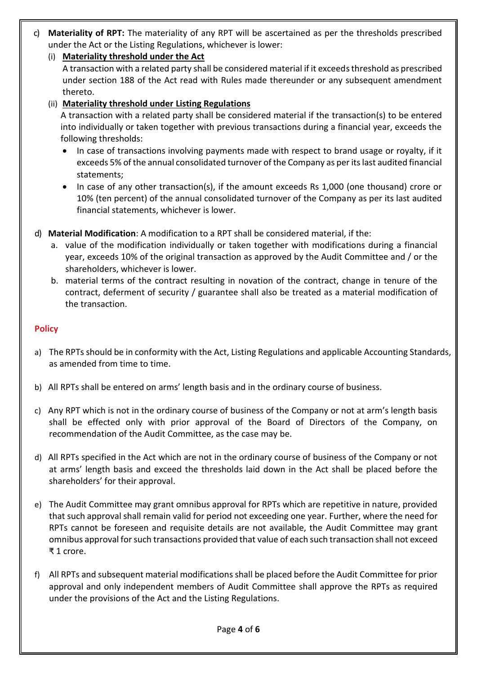- c) **Materiality of RPT:** The materiality of any RPT will be ascertained as per the thresholds prescribed under the Act or the Listing Regulations, whichever is lower:
	- (i) **Materiality threshold under the Act** A transaction with a related party shall be considered material if it exceeds threshold as prescribed under section 188 of the Act read with Rules made thereunder or any subsequent amendment thereto.

# (ii) **Materiality threshold under Listing Regulations**

A transaction with a related party shall be considered material if the transaction(s) to be entered into individually or taken together with previous transactions during a financial year, exceeds the following thresholds:

- In case of transactions involving payments made with respect to brand usage or royalty, if it exceeds 5% of the annual consolidated turnover of the Company as per its last audited financial statements;
- In case of any other transaction(s), if the amount exceeds Rs 1,000 (one thousand) crore or 10% (ten percent) of the annual consolidated turnover of the Company as per its last audited financial statements, whichever is lower.
- d) **Material Modification**: A modification to a RPT shall be considered material, if the:
	- a. value of the modification individually or taken together with modifications during a financial year, exceeds 10% of the original transaction as approved by the Audit Committee and / or the shareholders, whichever is lower.
	- b. material terms of the contract resulting in novation of the contract, change in tenure of the contract, deferment of security / guarantee shall also be treated as a material modification of the transaction.

# <span id="page-3-0"></span>**Policy**

- a) The RPTs should be in conformity with the Act, Listing Regulations and applicable Accounting Standards, as amended from time to time.
- b) All RPTs shall be entered on arms' length basis and in the ordinary course of business.
- c) Any RPT which is not in the ordinary course of business of the Company or not at arm's length basis shall be effected only with prior approval of the Board of Directors of the Company, on recommendation of the Audit Committee, as the case may be.
- d) All RPTs specified in the Act which are not in the ordinary course of business of the Company or not at arms' length basis and exceed the thresholds laid down in the Act shall be placed before the shareholders' for their approval.
- e) The Audit Committee may grant omnibus approval for RPTs which are repetitive in nature, provided that such approval shall remain valid for period not exceeding one year. Further, where the need for RPTs cannot be foreseen and requisite details are not available, the Audit Committee may grant omnibus approval forsuch transactions provided that value of each such transaction shall not exceed ₹ 1 crore.
- f) All RPTs and subsequent material modifications shall be placed before the Audit Committee for prior approval and only independent members of Audit Committee shall approve the RPTs as required under the provisions of the Act and the Listing Regulations.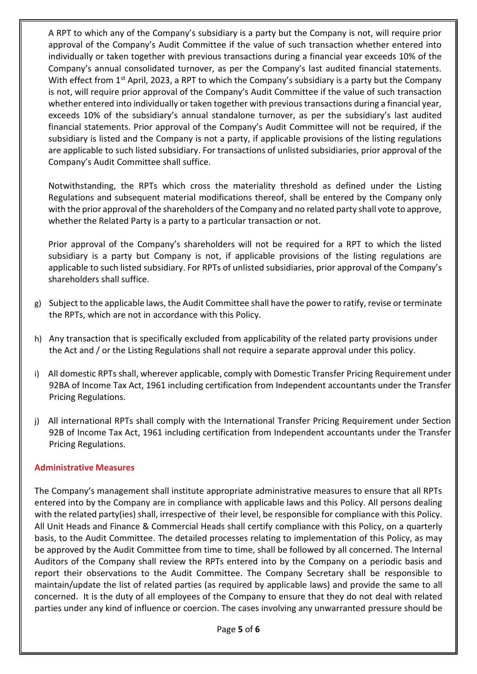A RPT to which any of the Company's subsidiary is a party but the Company is not, will require prior approval of the Company's Audit Committee if the value of such transaction whether entered into individually or taken together with previous transactions during a financial year exceeds 10% of the Company's annual consolidated turnover, as per the Company's last audited financial statements. With effect from 1<sup>st</sup> April, 2023, a RPT to which the Company's subsidiary is a party but the Company is not, will require prior approval of the Company's Audit Committee if the value of such transaction whether entered into individually or taken together with previous transactions during a financial year, exceeds 10% of the subsidiary's annual standalone turnover, as per the subsidiary's last audited financial statements. Prior approval of the Company's Audit Committee will not be required, if the subsidiary is listed and the Company is not a party, if applicable provisions of the listing regulations are applicable to such listed subsidiary. For transactions of unlisted subsidiaries, prior approval of the Company's Audit Committee shall suffice.

Notwithstanding, the RPTs which cross the materiality threshold as defined under the Listing Regulations and subsequent material modifications thereof, shall be entered by the Company only with the prior approval of the shareholders of the Company and no related party shall vote to approve, whether the Related Party is a party to a particular transaction or not.

Prior approval of the Company's shareholders will not be required for a RPT to which the listed subsidiary is a party but Company is not, if applicable provisions of the listing regulations are applicable to such listed subsidiary. For RPTs of unlisted subsidiaries, prior approval of the Company's shareholders shall suffice.

- g) Subject to the applicable laws, the Audit Committee shall have the power to ratify, revise or terminate the RPTs, which are not in accordance with this Policy.
- h) Any transaction that is specifically excluded from applicability of the related party provisions under the Act and / or the Listing Regulations shall not require a separate approval under this policy.
- i) All domestic RPTs shall, wherever applicable, comply with Domestic Transfer Pricing Requirement under 92BA of Income Tax Act, 1961 including certification from Independent accountants under the Transfer Pricing Regulations.
- j) All international RPTs shall comply with the International Transfer Pricing Requirement under Section 92B of Income Tax Act, 1961 including certification from Independent accountants under the Transfer Pricing Regulations.

## <span id="page-4-0"></span>**Administrative Measures**

The Company's management shall institute appropriate administrative measures to ensure that all RPTs entered into by the Company are in compliance with applicable laws and this Policy. All persons dealing with the related party(ies) shall, irrespective of their level, be responsible for compliance with this Policy. All Unit Heads and Finance & Commercial Heads shall certify compliance with this Policy, on a quarterly basis, to the Audit Committee. The detailed processes relating to implementation of this Policy, as may be approved by the Audit Committee from time to time, shall be followed by all concerned. The Internal Auditors of the Company shall review the RPTs entered into by the Company on a periodic basis and report their observations to the Audit Committee. The Company Secretary shall be responsible to maintain/update the list of related parties (as required by applicable laws) and provide the same to all concerned. It is the duty of all employees of the Company to ensure that they do not deal with related parties under any kind of influence or coercion. The cases involving any unwarranted pressure should be